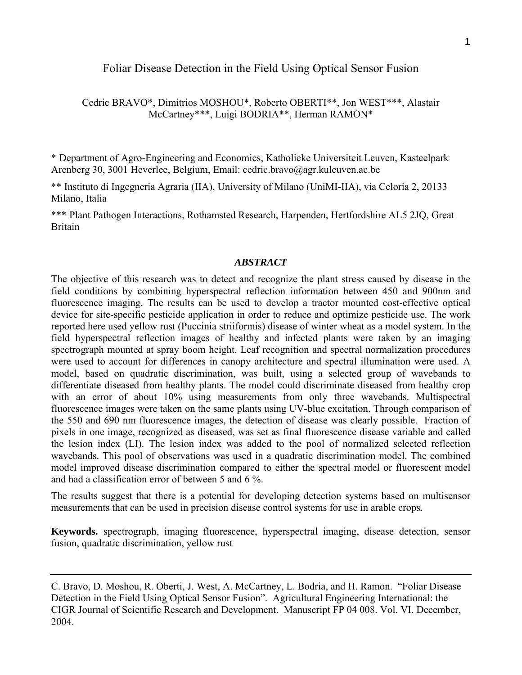# Foliar Disease Detection in the Field Using Optical Sensor Fusion

Cedric BRAVO\*, Dimitrios MOSHOU\*, Roberto OBERTI\*\*, Jon WEST\*\*\*, Alastair McCartney\*\*\*, Luigi BODRIA\*\*, Herman RAMON\*

\* Department of Agro-Engineering and Economics, Katholieke Universiteit Leuven, Kasteelpark Arenberg 30, 3001 Heverlee, Belgium, Email: cedric.bravo@agr.kuleuven.ac.be

\*\* Instituto di Ingegneria Agraria (IIA), University of Milano (UniMI-IIA), via Celoria 2, 20133 Milano, Italia

\*\*\* Plant Pathogen Interactions, Rothamsted Research, Harpenden, Hertfordshire AL5 2JQ, Great Britain

#### *ABSTRACT*

The objective of this research was to detect and recognize the plant stress caused by disease in the field conditions by combining hyperspectral reflection information between 450 and 900nm and fluorescence imaging. The results can be used to develop a tractor mounted cost-effective optical device for site-specific pesticide application in order to reduce and optimize pesticide use. The work reported here used yellow rust (Puccinia striiformis) disease of winter wheat as a model system. In the field hyperspectral reflection images of healthy and infected plants were taken by an imaging spectrograph mounted at spray boom height. Leaf recognition and spectral normalization procedures were used to account for differences in canopy architecture and spectral illumination were used. A model, based on quadratic discrimination, was built, using a selected group of wavebands to differentiate diseased from healthy plants. The model could discriminate diseased from healthy crop with an error of about 10% using measurements from only three wavebands. Multispectral fluorescence images were taken on the same plants using UV-blue excitation. Through comparison of the 550 and 690 nm fluorescence images, the detection of disease was clearly possible. Fraction of pixels in one image, recognized as diseased, was set as final fluorescence disease variable and called the lesion index (LI). The lesion index was added to the pool of normalized selected reflection wavebands. This pool of observations was used in a quadratic discrimination model. The combined model improved disease discrimination compared to either the spectral model or fluorescent model and had a classification error of between 5 and 6 %.

The results suggest that there is a potential for developing detection systems based on multisensor measurements that can be used in precision disease control systems for use in arable crops*.* 

**Keywords.** spectrograph, imaging fluorescence, hyperspectral imaging, disease detection, sensor fusion, quadratic discrimination, yellow rust

C. Bravo, D. Moshou, R. Oberti, J. West, A. McCartney, L. Bodria, and H. Ramon. "Foliar Disease Detection in the Field Using Optical Sensor Fusion". Agricultural Engineering International: the CIGR Journal of Scientific Research and Development. Manuscript FP 04 008. Vol. VI. December, 2004.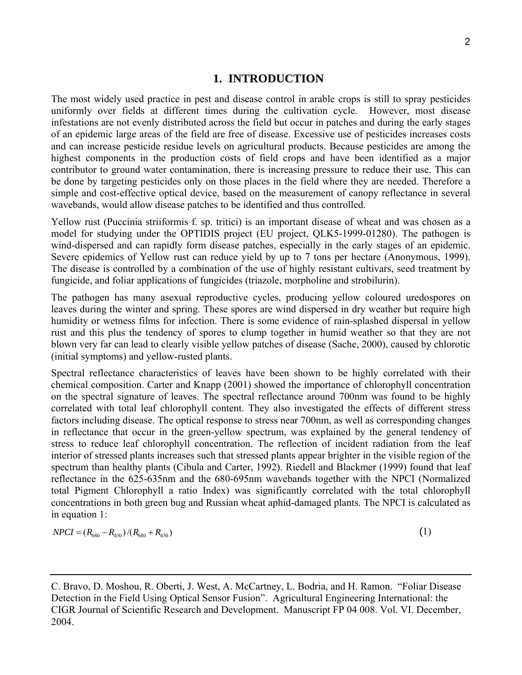# **1. INTRODUCTION**

The most widely used practice in pest and disease control in arable crops is still to spray pesticides uniformly over fields at different times during the cultivation cycle. However, most disease infestations are not evenly distributed across the field but occur in patches and during the early stages of an epidemic large areas of the field are free of disease. Excessive use of pesticides increases costs and can increase pesticide residue levels on agricultural products. Because pesticides are among the highest components in the production costs of field crops and have been identified as a major contributor to ground water contamination, there is increasing pressure to reduce their use. This can be done by targeting pesticides only on those places in the field where they are needed. Therefore a simple and cost-effective optical device, based on the measurement of canopy reflectance in several wavebands, would allow disease patches to be identified and thus controlled.

Yellow rust (Puccinia striiformis f. sp. tritici) is an important disease of wheat and was chosen as a model for studying under the OPTIDIS project (EU project, QLK5-1999-01280). The pathogen is wind-dispersed and can rapidly form disease patches, especially in the early stages of an epidemic. Severe epidemics of Yellow rust can reduce yield by up to 7 tons per hectare (Anonymous, 1999). The disease is controlled by a combination of the use of highly resistant cultivars, seed treatment by fungicide, and foliar applications of fungicides (triazole, morpholine and strobilurin).

The pathogen has many asexual reproductive cycles, producing yellow coloured uredospores on leaves during the winter and spring. These spores are wind dispersed in dry weather but require high humidity or wetness films for infection. There is some evidence of rain-splashed dispersal in yellow rust and this plus the tendency of spores to clump together in humid weather so that they are not blown very far can lead to clearly visible yellow patches of disease (Sache, 2000), caused by chlorotic (initial symptoms) and yellow-rusted plants.

Spectral reflectance characteristics of leaves have been shown to be highly correlated with their chemical composition. Carter and Knapp (2001) showed the importance of chlorophyll concentration on the spectral signature of leaves. The spectral reflectance around 700nm was found to be highly correlated with total leaf chlorophyll content. They also investigated the effects of different stress factors including disease. The optical response to stress near 700nm, as well as corresponding changes in reflectance that occur in the green-yellow spectrum, was explained by the general tendency of stress to reduce leaf chlorophyll concentration. The reflection of incident radiation from the leaf interior of stressed plants increases such that stressed plants appear brighter in the visible region of the spectrum than healthy plants (Cibula and Carter, 1992). Riedell and Blackmer (1999) found that leaf reflectance in the 625-635nm and the 680-695nm wavebands together with the NPCI (Normalized total Pigment Chlorophyll a ratio Index) was significantly correlated with the total chlorophyll concentrations in both green bug and Russian wheat aphid-damaged plants. The NPCI is calculated as in equation 1:

$$
NPCI = (R_{680} - R_{430})/(R_{680} + R_{430})
$$
\n<sup>(1)</sup>

C. Bravo, D. Moshou, R. Oberti, J. West, A. McCartney, L. Bodria, and H. Ramon. "Foliar Disease Detection in the Field Using Optical Sensor Fusion". Agricultural Engineering International: the CIGR Journal of Scientific Research and Development. Manuscript FP 04 008. Vol. VI. December, 2004.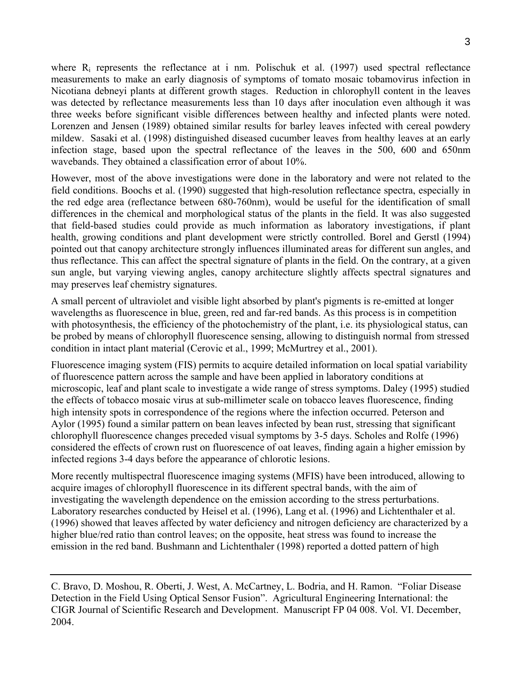where  $R_i$  represents the reflectance at i nm. Polischuk et al. (1997) used spectral reflectance measurements to make an early diagnosis of symptoms of tomato mosaic tobamovirus infection in Nicotiana debneyi plants at different growth stages. Reduction in chlorophyll content in the leaves was detected by reflectance measurements less than 10 days after inoculation even although it was three weeks before significant visible differences between healthy and infected plants were noted. Lorenzen and Jensen (1989) obtained similar results for barley leaves infected with cereal powdery mildew. Sasaki et al. (1998) distinguished diseased cucumber leaves from healthy leaves at an early infection stage, based upon the spectral reflectance of the leaves in the 500, 600 and 650nm wavebands. They obtained a classification error of about 10%.

However, most of the above investigations were done in the laboratory and were not related to the field conditions. Boochs et al. (1990) suggested that high-resolution reflectance spectra, especially in the red edge area (reflectance between 680-760nm), would be useful for the identification of small differences in the chemical and morphological status of the plants in the field. It was also suggested that field-based studies could provide as much information as laboratory investigations, if plant health, growing conditions and plant development were strictly controlled. Borel and Gerstl (1994) pointed out that canopy architecture strongly influences illuminated areas for different sun angles, and thus reflectance. This can affect the spectral signature of plants in the field. On the contrary, at a given sun angle, but varying viewing angles, canopy architecture slightly affects spectral signatures and may preserves leaf chemistry signatures.

A small percent of ultraviolet and visible light absorbed by plant's pigments is re-emitted at longer wavelengths as fluorescence in blue, green, red and far-red bands. As this process is in competition with photosynthesis, the efficiency of the photochemistry of the plant, i.e. its physiological status, can be probed by means of chlorophyll fluorescence sensing, allowing to distinguish normal from stressed condition in intact plant material (Cerovic et al., 1999; McMurtrey et al., 2001).

Fluorescence imaging system (FIS) permits to acquire detailed information on local spatial variability of fluorescence pattern across the sample and have been applied in laboratory conditions at microscopic, leaf and plant scale to investigate a wide range of stress symptoms. Daley (1995) studied the effects of tobacco mosaic virus at sub-millimeter scale on tobacco leaves fluorescence, finding high intensity spots in correspondence of the regions where the infection occurred. Peterson and Aylor (1995) found a similar pattern on bean leaves infected by bean rust, stressing that significant chlorophyll fluorescence changes preceded visual symptoms by 3-5 days. Scholes and Rolfe (1996) considered the effects of crown rust on fluorescence of oat leaves, finding again a higher emission by infected regions 3-4 days before the appearance of chlorotic lesions.

More recently multispectral fluorescence imaging systems (MFIS) have been introduced, allowing to acquire images of chlorophyll fluorescence in its different spectral bands, with the aim of investigating the wavelength dependence on the emission according to the stress perturbations. Laboratory researches conducted by Heisel et al. (1996), Lang et al. (1996) and Lichtenthaler et al. (1996) showed that leaves affected by water deficiency and nitrogen deficiency are characterized by a higher blue/red ratio than control leaves; on the opposite, heat stress was found to increase the emission in the red band. Bushmann and Lichtenthaler (1998) reported a dotted pattern of high

C. Bravo, D. Moshou, R. Oberti, J. West, A. McCartney, L. Bodria, and H. Ramon. "Foliar Disease Detection in the Field Using Optical Sensor Fusion". Agricultural Engineering International: the CIGR Journal of Scientific Research and Development. Manuscript FP 04 008. Vol. VI. December, 2004.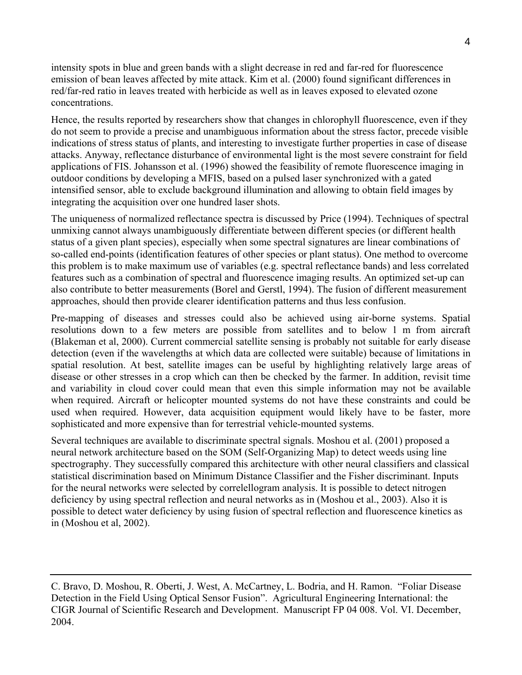intensity spots in blue and green bands with a slight decrease in red and far-red for fluorescence emission of bean leaves affected by mite attack. Kim et al. (2000) found significant differences in red/far-red ratio in leaves treated with herbicide as well as in leaves exposed to elevated ozone concentrations.

Hence, the results reported by researchers show that changes in chlorophyll fluorescence, even if they do not seem to provide a precise and unambiguous information about the stress factor, precede visible indications of stress status of plants, and interesting to investigate further properties in case of disease attacks. Anyway, reflectance disturbance of environmental light is the most severe constraint for field applications of FIS. Johansson et al. (1996) showed the feasibility of remote fluorescence imaging in outdoor conditions by developing a MFIS, based on a pulsed laser synchronized with a gated intensified sensor, able to exclude background illumination and allowing to obtain field images by integrating the acquisition over one hundred laser shots.

The uniqueness of normalized reflectance spectra is discussed by Price (1994). Techniques of spectral unmixing cannot always unambiguously differentiate between different species (or different health status of a given plant species), especially when some spectral signatures are linear combinations of so-called end-points (identification features of other species or plant status). One method to overcome this problem is to make maximum use of variables (e.g. spectral reflectance bands) and less correlated features such as a combination of spectral and fluorescence imaging results. An optimized set-up can also contribute to better measurements (Borel and Gerstl, 1994). The fusion of different measurement approaches, should then provide clearer identification patterns and thus less confusion.

Pre-mapping of diseases and stresses could also be achieved using air-borne systems. Spatial resolutions down to a few meters are possible from satellites and to below 1 m from aircraft (Blakeman et al, 2000). Current commercial satellite sensing is probably not suitable for early disease detection (even if the wavelengths at which data are collected were suitable) because of limitations in spatial resolution. At best, satellite images can be useful by highlighting relatively large areas of disease or other stresses in a crop which can then be checked by the farmer. In addition, revisit time and variability in cloud cover could mean that even this simple information may not be available when required. Aircraft or helicopter mounted systems do not have these constraints and could be used when required. However, data acquisition equipment would likely have to be faster, more sophisticated and more expensive than for terrestrial vehicle-mounted systems.

Several techniques are available to discriminate spectral signals. Moshou et al. (2001) proposed a neural network architecture based on the SOM (Self-Organizing Map) to detect weeds using line spectrography. They successfully compared this architecture with other neural classifiers and classical statistical discrimination based on Minimum Distance Classifier and the Fisher discriminant. Inputs for the neural networks were selected by correlellogram analysis. It is possible to detect nitrogen deficiency by using spectral reflection and neural networks as in (Moshou et al., 2003). Also it is possible to detect water deficiency by using fusion of spectral reflection and fluorescence kinetics as in (Moshou et al, 2002).

C. Bravo, D. Moshou, R. Oberti, J. West, A. McCartney, L. Bodria, and H. Ramon. "Foliar Disease Detection in the Field Using Optical Sensor Fusion". Agricultural Engineering International: the CIGR Journal of Scientific Research and Development. Manuscript FP 04 008. Vol. VI. December, 2004.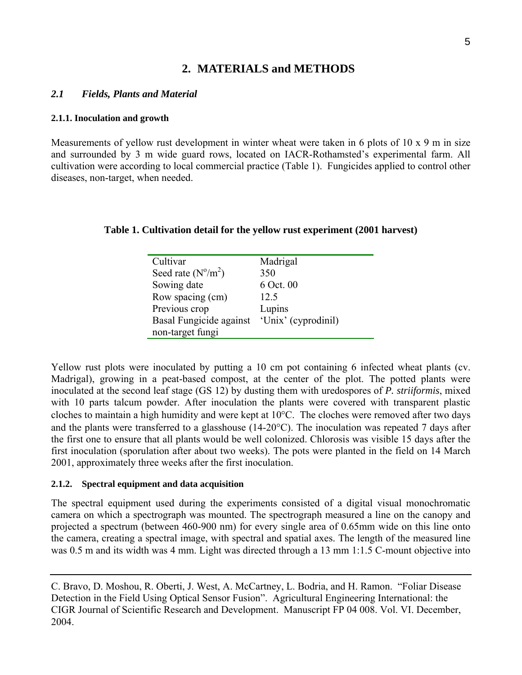# **2. MATERIALS and METHODS**

# *2.1 Fields, Plants and Material*

### **2.1.1. Inoculation and growth**

Measurements of yellow rust development in winter wheat were taken in 6 plots of 10 x 9 m in size and surrounded by 3 m wide guard rows, located on IACR-Rothamsted's experimental farm. All cultivation were according to local commercial practice (Table 1). Fungicides applied to control other diseases, non-target, when needed.

| Cultivar                | Madrigal            |
|-------------------------|---------------------|
| Seed rate $(N^0/m^2)$   | 350                 |
| Sowing date             | 6 Oct. 00           |
| Row spacing (cm)        | 12.5                |
| Previous crop           | Lupins              |
| Basal Fungicide against | 'Unix' (cyprodinil) |
| non-target fungi        |                     |

# **Table 1. Cultivation detail for the yellow rust experiment (2001 harvest)**

Yellow rust plots were inoculated by putting a 10 cm pot containing 6 infected wheat plants (cv. Madrigal), growing in a peat-based compost, at the center of the plot. The potted plants were inoculated at the second leaf stage (GS 12) by dusting them with uredospores of *P. striiformis*, mixed with 10 parts talcum powder. After inoculation the plants were covered with transparent plastic cloches to maintain a high humidity and were kept at 10°C. The cloches were removed after two days and the plants were transferred to a glasshouse (14-20°C). The inoculation was repeated 7 days after the first one to ensure that all plants would be well colonized. Chlorosis was visible 15 days after the first inoculation (sporulation after about two weeks). The pots were planted in the field on 14 March 2001, approximately three weeks after the first inoculation.

# **2.1.2. Spectral equipment and data acquisition**

The spectral equipment used during the experiments consisted of a digital visual monochromatic camera on which a spectrograph was mounted. The spectrograph measured a line on the canopy and projected a spectrum (between 460-900 nm) for every single area of 0.65mm wide on this line onto the camera, creating a spectral image, with spectral and spatial axes. The length of the measured line was 0.5 m and its width was 4 mm. Light was directed through a 13 mm 1:1.5 C-mount objective into

C. Bravo, D. Moshou, R. Oberti, J. West, A. McCartney, L. Bodria, and H. Ramon. "Foliar Disease Detection in the Field Using Optical Sensor Fusion". Agricultural Engineering International: the CIGR Journal of Scientific Research and Development. Manuscript FP 04 008. Vol. VI. December, 2004.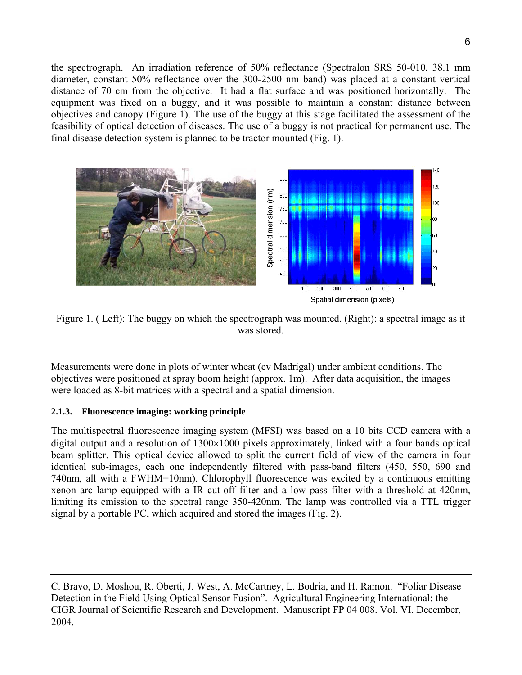the spectrograph. An irradiation reference of 50% reflectance (Spectralon SRS 50-010, 38.1 mm diameter, constant 50% reflectance over the 300-2500 nm band) was placed at a constant vertical distance of 70 cm from the objective. It had a flat surface and was positioned horizontally. The equipment was fixed on a buggy, and it was possible to maintain a constant distance between objectives and canopy (Figure 1). The use of the buggy at this stage facilitated the assessment of the feasibility of optical detection of diseases. The use of a buggy is not practical for permanent use. The final disease detection system is planned to be tractor mounted (Fig. 1).



Figure 1. ( Left): The buggy on which the spectrograph was mounted. (Right): a spectral image as it was stored.

Measurements were done in plots of winter wheat (cv Madrigal) under ambient conditions. The objectives were positioned at spray boom height (approx. 1m). After data acquisition, the images were loaded as 8-bit matrices with a spectral and a spatial dimension.

# **2.1.3. Fluorescence imaging: working principle**

The multispectral fluorescence imaging system (MFSI) was based on a 10 bits CCD camera with a digital output and a resolution of 1300×1000 pixels approximately, linked with a four bands optical beam splitter. This optical device allowed to split the current field of view of the camera in four identical sub-images, each one independently filtered with pass-band filters (450, 550, 690 and 740nm, all with a FWHM=10nm). Chlorophyll fluorescence was excited by a continuous emitting xenon arc lamp equipped with a IR cut-off filter and a low pass filter with a threshold at 420nm, limiting its emission to the spectral range 350-420nm. The lamp was controlled via a TTL trigger signal by a portable PC, which acquired and stored the images (Fig. 2).

C. Bravo, D. Moshou, R. Oberti, J. West, A. McCartney, L. Bodria, and H. Ramon. "Foliar Disease Detection in the Field Using Optical Sensor Fusion". Agricultural Engineering International: the CIGR Journal of Scientific Research and Development. Manuscript FP 04 008. Vol. VI. December, 2004.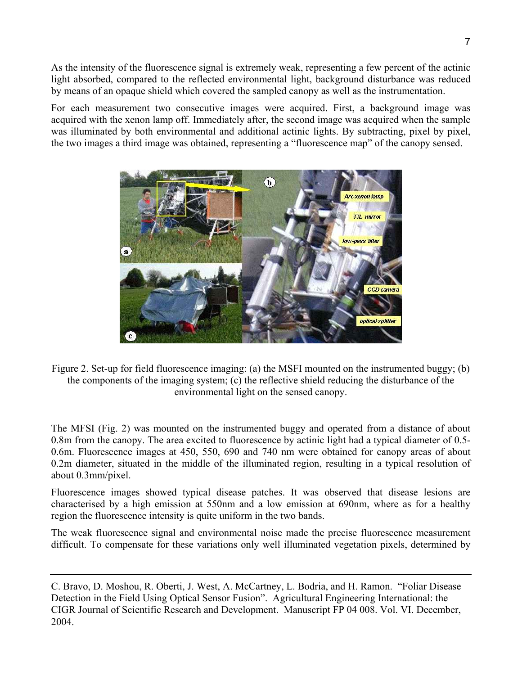As the intensity of the fluorescence signal is extremely weak, representing a few percent of the actinic light absorbed, compared to the reflected environmental light, background disturbance was reduced by means of an opaque shield which covered the sampled canopy as well as the instrumentation.

For each measurement two consecutive images were acquired. First, a background image was acquired with the xenon lamp off. Immediately after, the second image was acquired when the sample was illuminated by both environmental and additional actinic lights. By subtracting, pixel by pixel, the two images a third image was obtained, representing a "fluorescence map" of the canopy sensed.



Figure 2. Set-up for field fluorescence imaging: (a) the MSFI mounted on the instrumented buggy; (b) the components of the imaging system; (c) the reflective shield reducing the disturbance of the environmental light on the sensed canopy.

The MFSI (Fig. 2) was mounted on the instrumented buggy and operated from a distance of about 0.8m from the canopy. The area excited to fluorescence by actinic light had a typical diameter of 0.5- 0.6m. Fluorescence images at 450, 550, 690 and 740 nm were obtained for canopy areas of about 0.2m diameter, situated in the middle of the illuminated region, resulting in a typical resolution of about 0.3mm/pixel.

Fluorescence images showed typical disease patches. It was observed that disease lesions are characterised by a high emission at 550nm and a low emission at 690nm, where as for a healthy region the fluorescence intensity is quite uniform in the two bands.

The weak fluorescence signal and environmental noise made the precise fluorescence measurement difficult. To compensate for these variations only well illuminated vegetation pixels, determined by

C. Bravo, D. Moshou, R. Oberti, J. West, A. McCartney, L. Bodria, and H. Ramon. "Foliar Disease Detection in the Field Using Optical Sensor Fusion". Agricultural Engineering International: the CIGR Journal of Scientific Research and Development. Manuscript FP 04 008. Vol. VI. December, 2004.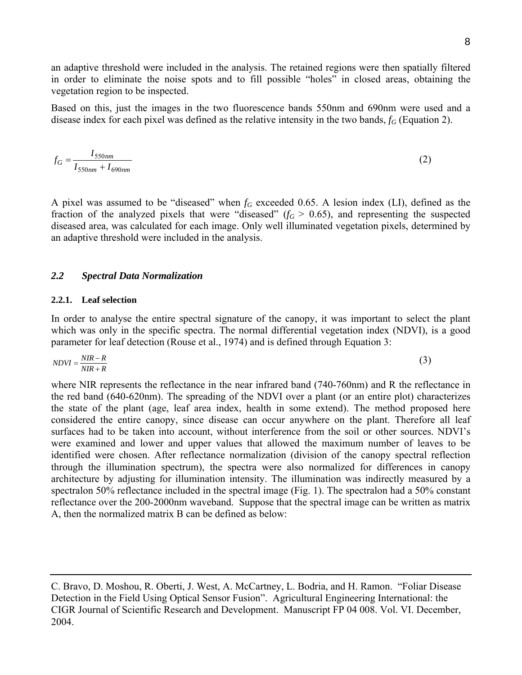an adaptive threshold were included in the analysis. The retained regions were then spatially filtered in order to eliminate the noise spots and to fill possible "holes" in closed areas, obtaining the vegetation region to be inspected.

Based on this, just the images in the two fluorescence bands 550nm and 690nm were used and a disease index for each pixel was defined as the relative intensity in the two bands,  $f_G$  (Equation 2).

$$
f_G = \frac{I_{550nm}}{I_{550nm} + I_{690nm}}
$$
(2)

A pixel was assumed to be "diseased" when  $f_G$  exceeded 0.65. A lesion index (LI), defined as the fraction of the analyzed pixels that were "diseased" ( $f_G > 0.65$ ), and representing the suspected diseased area, was calculated for each image. Only well illuminated vegetation pixels, determined by an adaptive threshold were included in the analysis.

#### *2.2 Spectral Data Normalization*

#### **2.2.1. Leaf selection**

In order to analyse the entire spectral signature of the canopy, it was important to select the plant which was only in the specific spectra. The normal differential vegetation index (NDVI), is a good parameter for leaf detection (Rouse et al., 1974) and is defined through Equation 3:

$$
NDVI = \frac{NIR - R}{NIR + R} \tag{3}
$$

where NIR represents the reflectance in the near infrared band (740-760nm) and R the reflectance in the red band (640-620nm). The spreading of the NDVI over a plant (or an entire plot) characterizes the state of the plant (age, leaf area index, health in some extend). The method proposed here considered the entire canopy, since disease can occur anywhere on the plant. Therefore all leaf surfaces had to be taken into account, without interference from the soil or other sources. NDVI's were examined and lower and upper values that allowed the maximum number of leaves to be identified were chosen. After reflectance normalization (division of the canopy spectral reflection through the illumination spectrum), the spectra were also normalized for differences in canopy architecture by adjusting for illumination intensity. The illumination was indirectly measured by a spectralon 50% reflectance included in the spectral image (Fig. 1). The spectralon had a 50% constant reflectance over the 200-2000nm waveband. Suppose that the spectral image can be written as matrix A, then the normalized matrix B can be defined as below:

C. Bravo, D. Moshou, R. Oberti, J. West, A. McCartney, L. Bodria, and H. Ramon. "Foliar Disease Detection in the Field Using Optical Sensor Fusion". Agricultural Engineering International: the CIGR Journal of Scientific Research and Development. Manuscript FP 04 008. Vol. VI. December, 2004.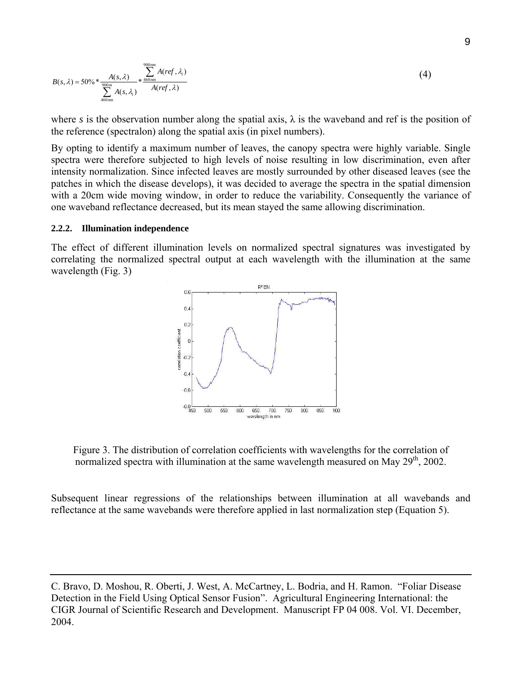$$
B(s,\lambda) = 50\% \ast \frac{A(s,\lambda)}{\sum_{460nm}^{900nm} A(ref,\lambda)} \ast \frac{A(ref,\lambda)}{A(ref,\lambda)}
$$
(4)

where *s* is the observation number along the spatial axis,  $\lambda$  is the waveband and ref is the position of the reference (spectralon) along the spatial axis (in pixel numbers).

By opting to identify a maximum number of leaves, the canopy spectra were highly variable. Single spectra were therefore subjected to high levels of noise resulting in low discrimination, even after intensity normalization. Since infected leaves are mostly surrounded by other diseased leaves (see the patches in which the disease develops), it was decided to average the spectra in the spatial dimension with a 20cm wide moving window, in order to reduce the variability. Consequently the variance of one waveband reflectance decreased, but its mean stayed the same allowing discrimination.

#### **2.2.2. Illumination independence**

The effect of different illumination levels on normalized spectral signatures was investigated by correlating the normalized spectral output at each wavelength with the illumination at the same wavelength (Fig. 3)



Figure 3. The distribution of correlation coefficients with wavelengths for the correlation of normalized spectra with illumination at the same wavelength measured on May  $29<sup>th</sup>$ , 2002.

Subsequent linear regressions of the relationships between illumination at all wavebands and reflectance at the same wavebands were therefore applied in last normalization step (Equation 5).

C. Bravo, D. Moshou, R. Oberti, J. West, A. McCartney, L. Bodria, and H. Ramon. "Foliar Disease Detection in the Field Using Optical Sensor Fusion". Agricultural Engineering International: the CIGR Journal of Scientific Research and Development. Manuscript FP 04 008. Vol. VI. December, 2004.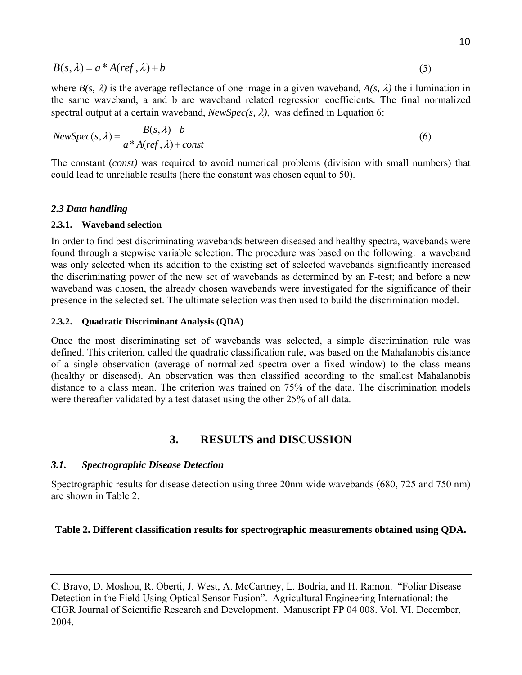$$
B(s, \lambda) = a^* A(ref, \lambda) + b \tag{5}
$$

where  $B(s, \lambda)$  is the average reflectance of one image in a given waveband,  $A(s, \lambda)$  the illumination in the same waveband, a and b are waveband related regression coefficients. The final normalized

$$
NewSpec(s, \lambda) = \frac{B(s, \lambda) - b}{a * A(ref, \lambda) + const}
$$
(6)

spectral output at a certain waveband,  $NewSpec(s, \lambda)$ , was defined in Equation 6:

The constant (*const)* was required to avoid numerical problems (division with small numbers) that could lead to unreliable results (here the constant was chosen equal to 50).

### *2.3 Data handling*

#### **2.3.1. Waveband selection**

In order to find best discriminating wavebands between diseased and healthy spectra, wavebands were found through a stepwise variable selection. The procedure was based on the following: a waveband was only selected when its addition to the existing set of selected wavebands significantly increased the discriminating power of the new set of wavebands as determined by an F-test; and before a new waveband was chosen, the already chosen wavebands were investigated for the significance of their presence in the selected set. The ultimate selection was then used to build the discrimination model.

### **2.3.2. Quadratic Discriminant Analysis (QDA)**

Once the most discriminating set of wavebands was selected, a simple discrimination rule was defined. This criterion, called the quadratic classification rule, was based on the Mahalanobis distance of a single observation (average of normalized spectra over a fixed window) to the class means (healthy or diseased). An observation was then classified according to the smallest Mahalanobis distance to a class mean. The criterion was trained on 75% of the data. The discrimination models were thereafter validated by a test dataset using the other 25% of all data.

# **3. RESULTS and DISCUSSION**

# *3.1. Spectrographic Disease Detection*

Spectrographic results for disease detection using three 20nm wide wavebands (680, 725 and 750 nm) are shown in Table 2.

# **Table 2. Different classification results for spectrographic measurements obtained using QDA.**

C. Bravo, D. Moshou, R. Oberti, J. West, A. McCartney, L. Bodria, and H. Ramon. "Foliar Disease Detection in the Field Using Optical Sensor Fusion". Agricultural Engineering International: the CIGR Journal of Scientific Research and Development. Manuscript FP 04 008. Vol. VI. December, 2004.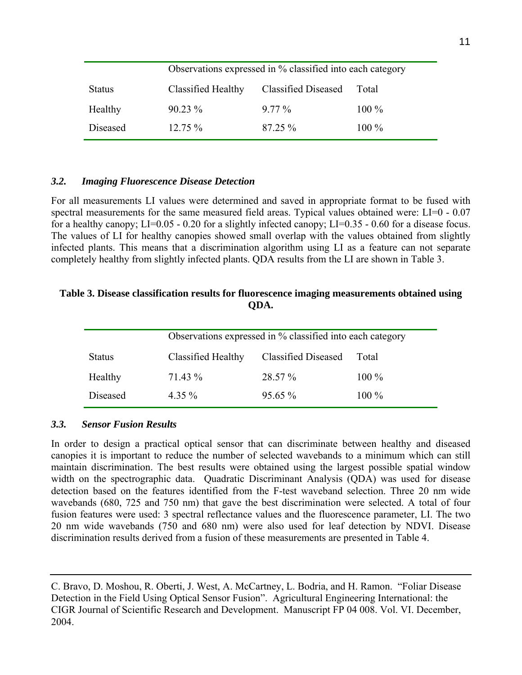|               | Observations expressed in % classified into each category |                     |         |  |
|---------------|-----------------------------------------------------------|---------------------|---------|--|
| <b>Status</b> | Classified Healthy                                        | Classified Diseased | Total   |  |
| Healthy       | $90.23\%$                                                 | $9.77\%$            | $100\%$ |  |
| Diseased      | 12.75%                                                    | 8725%               | $100\%$ |  |

#### *3.2. Imaging Fluorescence Disease Detection*

For all measurements LI values were determined and saved in appropriate format to be fused with spectral measurements for the same measured field areas. Typical values obtained were: LI=0 - 0.07 for a healthy canopy; LI=0.05 - 0.20 for a slightly infected canopy; LI=0.35 - 0.60 for a disease focus. The values of LI for healthy canopies showed small overlap with the values obtained from slightly infected plants. This means that a discrimination algorithm using LI as a feature can not separate completely healthy from slightly infected plants. QDA results from the LI are shown in Table 3.

# **Table 3. Disease classification results for fluorescence imaging measurements obtained using QDA.**

|               | Observations expressed in % classified into each category |                            |         |
|---------------|-----------------------------------------------------------|----------------------------|---------|
| <b>Status</b> | Classified Healthy                                        | <b>Classified Diseased</b> | Total   |
| Healthy       | 71.43 %                                                   | 28.57 %                    | $100\%$ |
| Diseased      | $4.35\%$                                                  | $9565\%$                   | $100\%$ |

# *3.3. Sensor Fusion Results*

In order to design a practical optical sensor that can discriminate between healthy and diseased canopies it is important to reduce the number of selected wavebands to a minimum which can still maintain discrimination. The best results were obtained using the largest possible spatial window width on the spectrographic data. Quadratic Discriminant Analysis (ODA) was used for disease detection based on the features identified from the F-test waveband selection. Three 20 nm wide wavebands (680, 725 and 750 nm) that gave the best discrimination were selected. A total of four fusion features were used: 3 spectral reflectance values and the fluorescence parameter, LI. The two 20 nm wide wavebands (750 and 680 nm) were also used for leaf detection by NDVI. Disease discrimination results derived from a fusion of these measurements are presented in Table 4.

C. Bravo, D. Moshou, R. Oberti, J. West, A. McCartney, L. Bodria, and H. Ramon. "Foliar Disease Detection in the Field Using Optical Sensor Fusion". Agricultural Engineering International: the CIGR Journal of Scientific Research and Development. Manuscript FP 04 008. Vol. VI. December, 2004.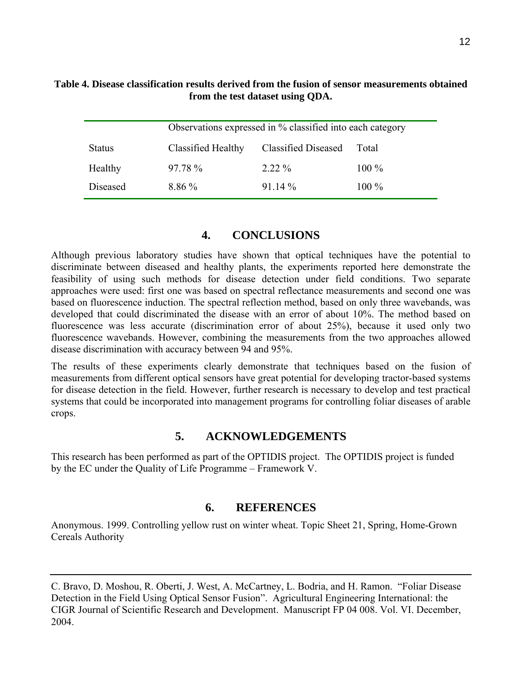|               |                    | Observations expressed in % classified into each category |          |  |  |
|---------------|--------------------|-----------------------------------------------------------|----------|--|--|
| <b>Status</b> | Classified Healthy | <b>Classified Diseased</b>                                | Total    |  |  |
| Healthy       | 97.78 %            | $2.22\%$                                                  | $100\%$  |  |  |
| Diseased      | 886 %              | 91 14 $\%$                                                | 100 $\%$ |  |  |

# **Table 4. Disease classification results derived from the fusion of sensor measurements obtained from the test dataset using QDA.**

# **4. CONCLUSIONS**

Although previous laboratory studies have shown that optical techniques have the potential to discriminate between diseased and healthy plants, the experiments reported here demonstrate the feasibility of using such methods for disease detection under field conditions. Two separate approaches were used: first one was based on spectral reflectance measurements and second one was based on fluorescence induction. The spectral reflection method, based on only three wavebands, was developed that could discriminated the disease with an error of about 10%. The method based on fluorescence was less accurate (discrimination error of about 25%), because it used only two fluorescence wavebands. However, combining the measurements from the two approaches allowed disease discrimination with accuracy between 94 and 95%.

The results of these experiments clearly demonstrate that techniques based on the fusion of measurements from different optical sensors have great potential for developing tractor-based systems for disease detection in the field. However, further research is necessary to develop and test practical systems that could be incorporated into management programs for controlling foliar diseases of arable crops.

# **5. ACKNOWLEDGEMENTS**

This research has been performed as part of the OPTIDIS project. The OPTIDIS project is funded by the EC under the Quality of Life Programme – Framework V.

# **6. REFERENCES**

Anonymous. 1999. Controlling yellow rust on winter wheat. Topic Sheet 21, Spring, Home-Grown Cereals Authority

C. Bravo, D. Moshou, R. Oberti, J. West, A. McCartney, L. Bodria, and H. Ramon. "Foliar Disease Detection in the Field Using Optical Sensor Fusion". Agricultural Engineering International: the CIGR Journal of Scientific Research and Development. Manuscript FP 04 008. Vol. VI. December, 2004.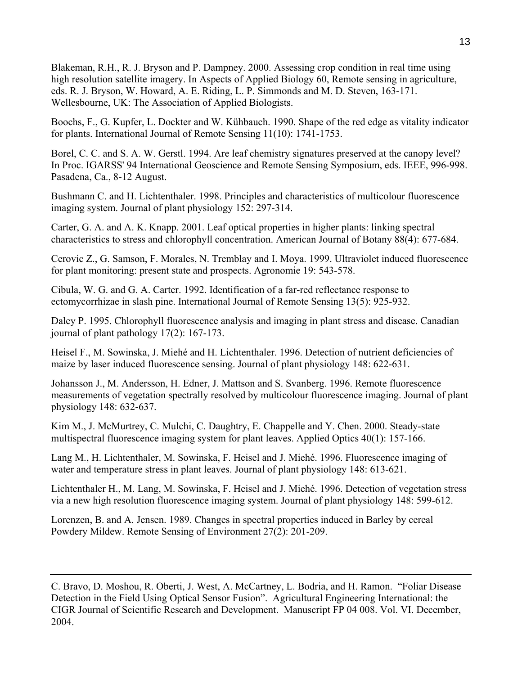Blakeman, R.H., R. J. Bryson and P. Dampney. 2000. Assessing crop condition in real time using high resolution satellite imagery. In Aspects of Applied Biology 60, Remote sensing in agriculture, eds. R. J. Bryson, W. Howard, A. E. Riding, L. P. Simmonds and M. D. Steven, 163-171. Wellesbourne, UK: The Association of Applied Biologists.

Boochs, F., G. Kupfer, L. Dockter and W. Kühbauch. 1990. Shape of the red edge as vitality indicator for plants. International Journal of Remote Sensing 11(10): 1741-1753.

Borel, C. C. and S. A. W. Gerstl. 1994. Are leaf chemistry signatures preserved at the canopy level? In Proc. IGARSS' 94 International Geoscience and Remote Sensing Symposium, eds. IEEE, 996-998. Pasadena, Ca., 8-12 August.

Bushmann C. and H. Lichtenthaler. 1998. Principles and characteristics of multicolour fluorescence imaging system. Journal of plant physiology 152: 297-314.

Carter, G. A. and A. K. Knapp. 2001. Leaf optical properties in higher plants: linking spectral characteristics to stress and chlorophyll concentration. American Journal of Botany 88(4): 677-684.

Cerovic Z., G. Samson, F. Morales, N. Tremblay and I. Moya. 1999. Ultraviolet induced fluorescence for plant monitoring: present state and prospects. Agronomie 19: 543-578.

Cibula, W. G. and G. A. Carter. 1992. Identification of a far-red reflectance response to ectomycorrhizae in slash pine. International Journal of Remote Sensing 13(5): 925-932.

Daley P. 1995. Chlorophyll fluorescence analysis and imaging in plant stress and disease. Canadian journal of plant pathology 17(2): 167-173.

Heisel F., M. Sowinska, J. Miehé and H. Lichtenthaler. 1996. Detection of nutrient deficiencies of maize by laser induced fluorescence sensing. Journal of plant physiology 148: 622-631.

Johansson J., M. Andersson, H. Edner, J. Mattson and S. Svanberg. 1996. Remote fluorescence measurements of vegetation spectrally resolved by multicolour fluorescence imaging. Journal of plant physiology 148: 632-637.

Kim M., J. McMurtrey, C. Mulchi, C. Daughtry, E. Chappelle and Y. Chen. 2000. Steady-state multispectral fluorescence imaging system for plant leaves. Applied Optics 40(1): 157-166.

Lang M., H. Lichtenthaler, M. Sowinska, F. Heisel and J. Miehé. 1996. Fluorescence imaging of water and temperature stress in plant leaves. Journal of plant physiology 148: 613-621.

Lichtenthaler H., M. Lang, M. Sowinska, F. Heisel and J. Miehé. 1996. Detection of vegetation stress via a new high resolution fluorescence imaging system. Journal of plant physiology 148: 599-612.

Lorenzen, B. and A. Jensen. 1989. Changes in spectral properties induced in Barley by cereal Powdery Mildew. Remote Sensing of Environment 27(2): 201-209.

C. Bravo, D. Moshou, R. Oberti, J. West, A. McCartney, L. Bodria, and H. Ramon. "Foliar Disease Detection in the Field Using Optical Sensor Fusion". Agricultural Engineering International: the CIGR Journal of Scientific Research and Development. Manuscript FP 04 008. Vol. VI. December, 2004.